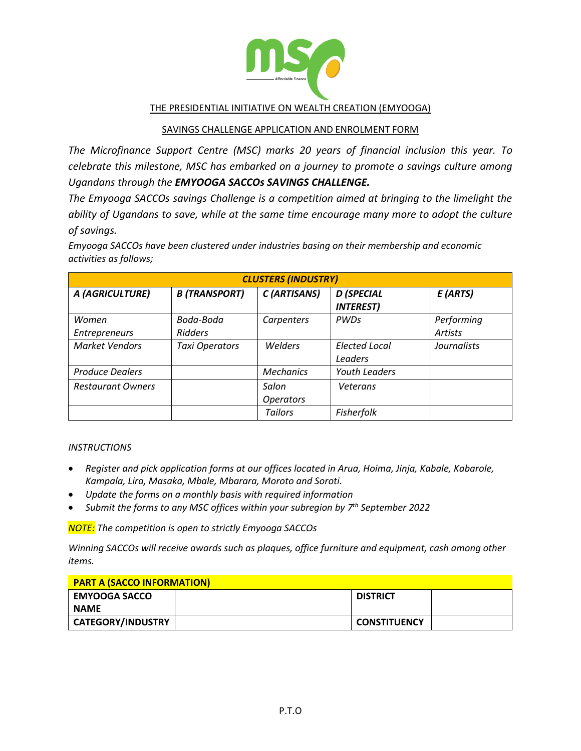

## THE PRESIDENTIAL INITIATIVE ON WEALTH CREATION (EMYOOGA)

### SAVINGS CHALLENGE APPLICATION AND ENROLMENT FORM

*The Microfinance Support Centre (MSC) marks 20 years of financial inclusion this year. To celebrate this milestone, MSC has embarked on a journey to promote a savings culture among Ugandans through the EMYOOGA SACCOs SAVINGS CHALLENGE.*

*The Emyooga SACCOs savings Challenge is a competition aimed at bringing to the limelight the ability of Ugandans to save, while at the same time encourage many more to adopt the culture of savings.*

*Emyooga SACCOs have been clustered under industries basing on their membership and economic activities as follows;*

| <b>CLUSTERS (INDUSTRY)</b> |                      |                  |                                       |                    |
|----------------------------|----------------------|------------------|---------------------------------------|--------------------|
| A (AGRICULTURE)            | <b>B</b> (TRANSPORT) | C (ARTISANS)     | <b>D</b> (SPECIAL<br><b>INTEREST)</b> | $E$ (ARTS)         |
| Women                      | Boda-Boda            | Carpenters       | <b>PWDs</b>                           | Performing         |
| <b>Entrepreneurs</b>       | <b>Ridders</b>       |                  |                                       | Artists            |
| <b>Market Vendors</b>      | Taxi Operators       | <b>Welders</b>   | <b>Elected Local</b>                  | <b>Journalists</b> |
|                            |                      |                  | Leaders                               |                    |
| <b>Produce Dealers</b>     |                      | <b>Mechanics</b> | <b>Youth Leaders</b>                  |                    |
| <b>Restaurant Owners</b>   |                      | Salon            | Veterans                              |                    |
|                            |                      | <b>Operators</b> |                                       |                    |
|                            |                      | <b>Tailors</b>   | Fisherfolk                            |                    |

### *INSTRUCTIONS*

- *Register and pick application forms at our offices located in Arua, Hoima, Jinja, Kabale, Kabarole, Kampala, Lira, Masaka, Mbale, Mbarara, Moroto and Soroti.*
- *Update the forms on a monthly basis with required information*
- *Submit the forms to any MSC offices within your subregion by 7 th September 2022*

*NOTE: The competition is open to strictly Emyooga SACCOs*

*Winning SACCOs will receive awards such as plaques, office furniture and equipment, cash among other items.*

| <b>PART A (SACCO INFORMATION)</b> |                     |  |
|-----------------------------------|---------------------|--|
| <b>EMYOOGA SACCO</b>              | <b>DISTRICT</b>     |  |
| <b>NAME</b>                       |                     |  |
| CATEGORY/INDUSTRY                 | <b>CONSTITUENCY</b> |  |